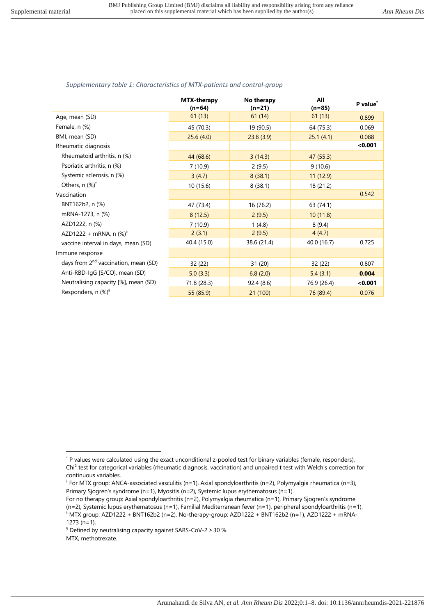|                                                  | <b>MTX-therapy</b><br>$(n=64)$ | No therapy<br>$(n=21)$ | All<br>$(n=85)$ | P value <sup>*</sup> |
|--------------------------------------------------|--------------------------------|------------------------|-----------------|----------------------|
| Age, mean (SD)                                   | 61(13)                         | 61(14)                 | 61(13)          | 0.899                |
| Female, n (%)                                    | 45 (70.3)                      | 19 (90.5)              | 64 (75.3)       | 0.069                |
| BMI, mean (SD)                                   | 25.6(4.0)                      | 23.8(3.9)              | 25.1(4.1)       | 0.088                |
| Rheumatic diagnosis                              |                                |                        |                 | < 0.001              |
| Rheumatoid arthritis, n (%)                      | 44 (68.6)                      | 3(14.3)                | 47 (55.3)       |                      |
| Psoriatic arthritis, n (%)                       | 7(10.9)                        | 2(9.5)                 | 9(10.6)         |                      |
| Systemic sclerosis, n (%)                        | 3(4.7)                         | 8(38.1)                | 11(12.9)        |                      |
| Others, $n$ (%) <sup>†</sup>                     | 10(15.6)                       | 8(38.1)                | 18 (21.2)       |                      |
| Vaccination                                      |                                |                        |                 | 0.542                |
| BNT162b2, n (%)                                  | 47 (73.4)                      | 16 (76.2)              | 63 (74.1)       |                      |
| mRNA-1273, n (%)                                 | 8(12.5)                        | 2(9.5)                 | 10(11.8)        |                      |
| AZD1222, n (%)                                   | 7(10.9)                        | 1(4.8)                 | 8(9.4)          |                      |
| AZD1222 + mRNA, n $(\%)^{\dagger}$               | 2(3.1)                         | 2(9.5)                 | 4(4.7)          |                      |
| vaccine interval in days, mean (SD)              | 40.4 (15.0)                    | 38.6 (21.4)            | 40.0 (16.7)     | 0.725                |
| Immune response                                  |                                |                        |                 |                      |
| days from 2 <sup>nd</sup> vaccination, mean (SD) | 32(22)                         | 31 (20)                | 32 (22)         | 0.807                |
| Anti-RBD-IgG [S/CO], mean (SD)                   | 5.0(3.3)                       | 6.8(2.0)               | 5.4(3.1)        | 0.004                |
| Neutralising capacity [%], mean (SD)             | 71.8 (28.3)                    | 92.4(8.6)              | 76.9 (26.4)     | < 0.001              |
| Responders, n $(\%)^{\S}$                        | 55 (85.9)                      | 21(100)                | 76 (89.4)       | 0.076                |

## *Supplementary table 1: Characteristics of MTX-patients and control-group*

<sup>\*</sup> P values were calculated using the exact unconditional z-pooled test for binary variables (female, responders), Chi² test for categorical variables (rheumatic diagnosis, vaccination) and unpaired t test with Welch's correction for continuous variables.

<sup>†</sup> For MTX group: ANCA-associated vasculitis (n=1), Axial spondyloarthritis (n=2), Polymyalgia rheumatica (n=3), Primary Sjogren's syndrome (n=1), Myositis (n=2), Systemic lupus erythematosus (n=1).

For no therapy group: Axial spondyloarthritis (n=2), Polymyalgia rheumatica (n=1), Primary Sjogren's syndrome (n=2), Systemic lupus erythematosus (n=1), Familial Mediterranean fever (n=1), peripheral spondyloarthritis (n=1). ‡ MTX group: AZD1222 + BNT162b2 (n=2). No-therapy-group: AZD1222 + BNT162b2 (n=1), AZD1222 + mRNA-1273 (n=1).

<sup>§</sup> Defined by neutralising capacity against SARS-CoV-2 ≥ 30 %. MTX, methotrexate.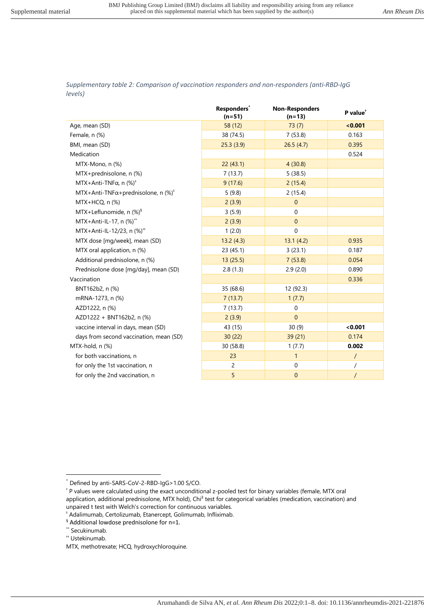**Responders\***

**Non-Responders**

|                                                         | Responders<br>$(n=51)$ | <b>IVUII-RESPUILUEIS</b><br>$(n=13)$ | $P$ value <sup><math>\dagger</math></sup> |
|---------------------------------------------------------|------------------------|--------------------------------------|-------------------------------------------|
| Age, mean (SD)                                          | 58 (12)                | 73(7)                                | < 0.001                                   |
| Female, n (%)                                           | 38 (74.5)              | 7(53.8)                              | 0.163                                     |
| BMI, mean (SD)                                          | 25.3(3.9)              | 26.5(4.7)                            | 0.395                                     |
| Medication                                              |                        |                                      | 0.524                                     |
| MTX-Mono, n (%)                                         | 22(43.1)               | 4(30.8)                              |                                           |
| MTX+prednisolone, n (%)                                 | 7(13.7)                | 5(38.5)                              |                                           |
| MTX+Anti-TNF $\alpha$ , n (%) <sup>+</sup>              | 9(17.6)                | 2(15.4)                              |                                           |
| MTX+Anti-TNF $\alpha$ +prednisolone, n (%) <sup>+</sup> | 5(9.8)                 | 2(15.4)                              |                                           |
| $MTX+HCQ, n$ (%)                                        | 2(3.9)                 | $\mathbf 0$                          |                                           |
| MTX+Leflunomide, n $(\%)^{\S}$                          | 3(5.9)                 | $\mathbf 0$                          |                                           |
| MTX+Anti-IL-17, n (%)**                                 | 2(3.9)                 | $\mathbf{0}$                         |                                           |
| MTX+Anti-IL-12/23, n (%) <sup>**</sup>                  | 1(2.0)                 | $\mathbf 0$                          |                                           |
| MTX dose [mg/week], mean (SD)                           | 13.2(4.3)              | 13.1(4.2)                            | 0.935                                     |
| MTX oral application, n (%)                             | 23(45.1)               | 3(23.1)                              | 0.187                                     |
| Additional prednisolone, n (%)                          | 13(25.5)               | 7(53.8)                              | 0.054                                     |
| Prednisolone dose [mg/day], mean (SD)                   | 2.8(1.3)               | 2.9(2.0)                             | 0.890                                     |
| Vaccination                                             |                        |                                      | 0.336                                     |
| BNT162b2, n (%)                                         | 35 (68.6)              | 12 (92.3)                            |                                           |
| mRNA-1273, n (%)                                        | 7(13.7)                | 1(7.7)                               |                                           |
| AZD1222, n (%)                                          | 7(13.7)                | 0                                    |                                           |
| AZD1222 + BNT162b2, n (%)                               | 2(3.9)                 | $\mathbf{0}$                         |                                           |
| vaccine interval in days, mean (SD)                     | 43 (15)                | 30(9)                                | < 0.001                                   |
| days from second vaccination, mean (SD)                 | 30(22)                 | 39(21)                               | 0.174                                     |
| MTX-hold, n (%)                                         | 30 (58.8)              | 1(7.7)                               | 0.002                                     |
| for both vaccinations, n                                | 23                     | $\mathbf{1}$                         | $\overline{1}$                            |
| for only the 1st vaccination, n                         | 2                      | $\boldsymbol{0}$                     |                                           |
| for only the 2nd vaccination, n                         | 5                      | $\overline{0}$                       |                                           |

*Supplementary table 2: Comparison of vaccination responders and non-responders (anti-RBD-IgG levels)* 

<sup>\*</sup> Defined by anti-SARS-CoV-2-RBD-IgG>1.00 S/CO.

<sup>†</sup> P values were calculated using the exact unconditional z-pooled test for binary variables (female, MTX oral application, additional prednisolone, MTX hold), Chi<sup>2</sup> test for categorical variables (medication, vaccination) and unpaired t test with Welch's correction for continuous variables.

<sup>‡</sup> Adalimumab, Certolizumab, Etanercept, Golimumab, Infliximab.

<sup>§</sup> Additional lowdose prednisolone for n=1.

<sup>\*\*</sup> Secukinumab.

<sup>††</sup> Ustekinumab.

MTX, methotrexate; HCQ, hydroxychloroquine.